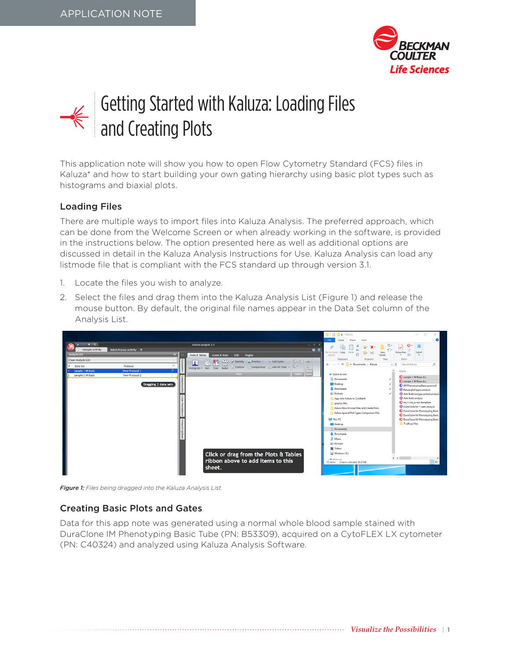

# Getting Started with Kaluza: Loading Files and Creating Plots

This application note will show you how to open Flow Cytometry Standard (FCS) files in Kaluza\* and how to start building your own gating hierarchy using basic plot types such as histograms and biaxial plots.

# Loading Files

There are multiple ways to import files into Kaluza Analysis. The preferred approach, which can be done from the Welcome Screen or when already working in the software, is provided in the instructions below. The option presented here as well as additional options are discussed in detail in the Kaluza Analysis Instructions for Use. Kaluza Analysis can load any listmode file that is compliant with the FCS standard up through version 3.1.

- 1. Locate the files you wish to analyze.
- 2. Select the files and drag them into the Kaluza Analysis List (Figure 1) and release the mouse button. By default, the original file names appear in the Data Set column of the Analysis List.

|                                        |                                                                 |                                                                                      | $\Box$   $\Box$   $\Box$   Kaluza<br>File<br>Share<br>Home<br>View                                                                                                                                                                                                                                                                                                        | D<br>$\bullet$<br>$\sim$                                                                                                                                                                                                                                                                                                                                                            |
|----------------------------------------|-----------------------------------------------------------------|--------------------------------------------------------------------------------------|---------------------------------------------------------------------------------------------------------------------------------------------------------------------------------------------------------------------------------------------------------------------------------------------------------------------------------------------------------------------------|-------------------------------------------------------------------------------------------------------------------------------------------------------------------------------------------------------------------------------------------------------------------------------------------------------------------------------------------------------------------------------------|
| $-7 - 7$<br><b>Analysis Activity</b>   |                                                                 | Kaluza Analysis 2.1<br>$ =$ $x$                                                      |                                                                                                                                                                                                                                                                                                                                                                           | ш                                                                                                                                                                                                                                                                                                                                                                                   |
| Analysis List                          | <b>Batch Process Activity X</b>                                 | 0 <sub>2</sub><br>Plots & Tables<br><b>Plugins</b><br>Gates & Tools<br>Edit          | Pin to Quick Copy Paste<br>access                                                                                                                                                                                                                                                                                                                                         | Select                                                                                                                                                                                                                                                                                                                                                                              |
| <b>Clear Analysis List</b>             |                                                                 | 图 1 8<br>Density L Overlay . O Cell Cycle<br>緊<br>煦                                  | Clipboard<br>Organize<br>New                                                                                                                                                                                                                                                                                                                                              | Open                                                                                                                                                                                                                                                                                                                                                                                |
| <b>Data Set</b>                        | Protocol                                                        | Contour Comparison Add All Plots .<br>Histogram - Dot Tree Radar                     | $\rightarrow$ $\sim$ $\uparrow$ $\uparrow$ st Documents > Kaluza<br>$\vee$ 0                                                                                                                                                                                                                                                                                              | Search Kaluza<br>$\mathfrak{D}$                                                                                                                                                                                                                                                                                                                                                     |
| sample 1 IM Basic<br>sample 2 IM Basic | <b>New Protocol 1</b><br>New Protocol 2<br>Dragging 2 data sets | <b>Plots</b><br>Tables                                                               | $\lambda$<br>sh Quick access<br><b>Documents</b><br>Desktop<br><b>L</b> Downloads<br><b>Pictures</b><br>App note Kaluza to Cytobank<br>graphic files<br>Kaluza How to Load Files and Create Plots<br>Kaluza Special Plot Types Comparions Plot<br><b>This PC</b><br>Desktop<br><b>GI Documents</b><br><b>L</b> Downloads<br>h Music<br><b>Pictures</b><br><b>N</b> Videos | Name<br>C sample 1 IM Basic fcs<br><b>D</b> sample 2 IM Basic fcs<br>M Phenotyping Basic protocol<br>Naluza plot types.analysis<br>Anti BrdU isotype control.analysis<br>Anti BrdU.analysis<br>my t-sne_script.rtemplate<br>DuraClone IM T-cells.analysis<br>DuraClone IM Phenotyping Basic<br>DuraClone IM Phenotyping Basic<br>DuraClone IM Phenotyping Basic<br>T cell csy files |
|                                        |                                                                 | Click or drag from the Plots & Tables<br>ribbon above to add items to this<br>sheet. | U.S. Windows (C:)<br>de Manager<br>12 items 2 items selected 80.0 MB                                                                                                                                                                                                                                                                                                      | $\vee$ <<br>3 an                                                                                                                                                                                                                                                                                                                                                                    |

*Figure 1: Files being dragged into the Kaluza Analysis List.*

### Creating Basic Plots and Gates

Data for this app note was generated using a normal whole blood sample stained with DuraClone IM Phenotyping Basic Tube (PN: B53309), acquired on a CytoFLEX LX cytometer (PN: C40324) and analyzed using Kaluza Analysis Software.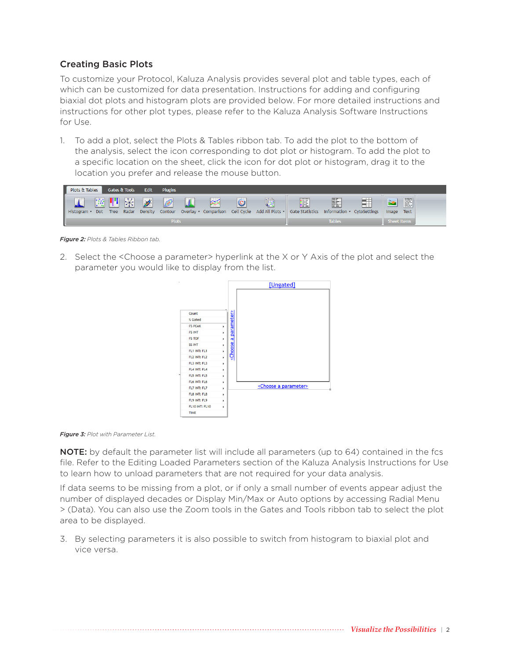# Creating Basic Plots

To customize your Protocol, Kaluza Analysis provides several plot and table types, each of which can be customized for data presentation. Instructions for adding and configuring biaxial dot plots and histogram plots are provided below. For more detailed instructions and instructions for other plot types, please refer to the Kaluza Analysis Software Instructions for Use.

1. To add a plot, select the Plots & Tables ribbon tab. To add the plot to the bottom of the analysis, select the icon corresponding to dot plot or histogram. To add the plot to a specific location on the sheet, click the icon for dot plot or histogram, drag it to the location you prefer and release the mouse button.



*Figure 2: Plots & Tables Ribbon tab.*

2. Select the <Choose a parameter> hyperlink at the X or Y Axis of the plot and select the parameter you would like to display from the list.





NOTE: by default the parameter list will include all parameters (up to 64) contained in the fcs file. Refer to the Editing Loaded Parameters section of the Kaluza Analysis Instructions for Use to learn how to unload parameters that are not required for your data analysis.

If data seems to be missing from a plot, or if only a small number of events appear adjust the number of displayed decades or Display Min/Max or Auto options by accessing Radial Menu > (Data). You can also use the Zoom tools in the Gates and Tools ribbon tab to select the plot area to be displayed.

3. By selecting parameters it is also possible to switch from histogram to biaxial plot and vice versa.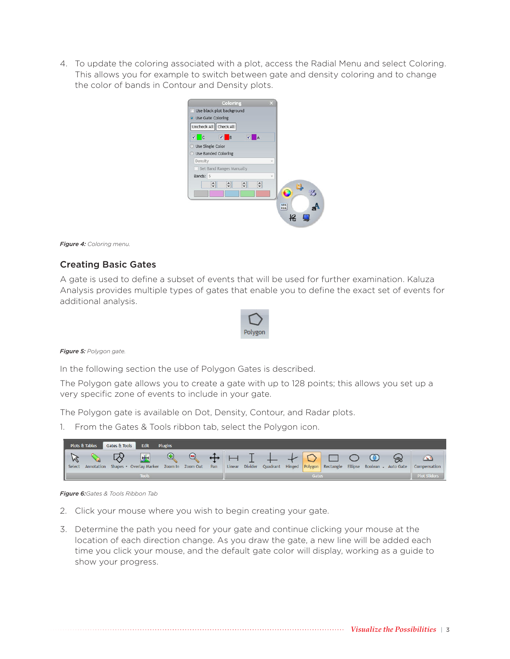4. To update the coloring associated with a plot, access the Radial Menu and select Coloring. This allows you for example to switch between gate and density coloring and to change the color of bands in Contour and Density plots.



#### *Figure 4: Coloring menu.*

# Creating Basic Gates

A gate is used to define a subset of events that will be used for further examination. Kaluza Analysis provides multiple types of gates that enable you to define the exact set of events for additional analysis.



*Figure 5: Polygon gate.*

In the following section the use of Polygon Gates is described.

The Polygon gate allows you to create a gate with up to 128 points; this allows you set up a very specific zone of events to include in your gate.

The Polygon gate is available on Dot, Density, Contour, and Radar plots.

1. From the Gates & Tools ribbon tab, select the Polygon icon.

|                        | Plots & Tables | Gates & Tools | Edit                               | <b>Plugins</b> |                  |     |                     |  |  |         |                                                                                          |              |
|------------------------|----------------|---------------|------------------------------------|----------------|------------------|-----|---------------------|--|--|---------|------------------------------------------------------------------------------------------|--------------|
| Select                 |                |               | Annotation Shapes • Overlay Marker |                | Zoom In Zoom Out | Pan |                     |  |  | $\circ$ | $\infty$<br>Linear Divider Quadrant Hinged Polygon Rectangle Ellipse Boolean - Auto Gate | Compensation |
| <b>Gates</b><br>fools. |                |               |                                    |                |                  |     | <b>Plot Sliders</b> |  |  |         |                                                                                          |              |

*Figure 6:Gates & Tools Ribbon Tab*

- 2. Click your mouse where you wish to begin creating your gate.
- 3. Determine the path you need for your gate and continue clicking your mouse at the location of each direction change. As you draw the gate, a new line will be added each time you click your mouse, and the default gate color will display, working as a guide to show your progress.